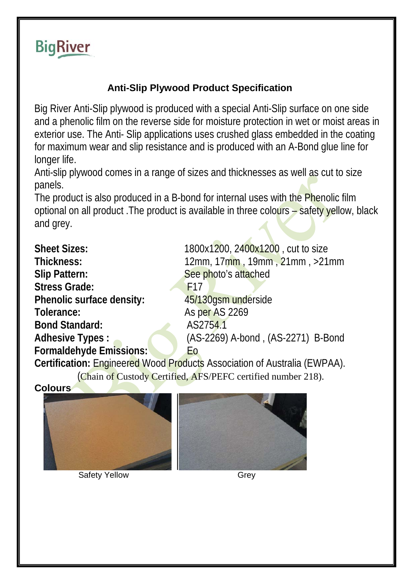

## **Anti-Slip Plywood Product Specification**

Big River Anti-Slip plywood is produced with a special Anti-Slip surface on one side and a phenolic film on the reverse side for moisture protection in wet or moist areas in exterior use. The Anti- Slip applications uses crushed glass embedded in the coating for maximum wear and slip resistance and is produced with an A-Bond glue line for longer life.

Anti-slip plywood comes in a range of sizes and thicknesses as well as cut to size panels.

The product is also produced in a B-bond for internal uses with the Phenolic film optional on all product .The product is available in three colours – safety yellow, black and grey.

**Slip Pattern:** See photo's attached Stress Grade: F17 **Phenolic surface density:** 45/130gsm underside **Tolerance:** As per AS 2269 **Bond Standard:** AS2754.1 **Formaldehyde Emissions:** Eo

**Sheet Sizes:** 1800x1200, 2400x1200, cut to size **Thickness:** 12mm, 17mm , 19mm , 21mm , >21mm **Adhesive Types :** (AS-2269) A-bond , (AS-2271) B-Bond

**Certification:** Engineered Wood Products Association of Australia (EWPAA). (Chain of Custody Certified, AFS/PEFC certified number 218).

**Colours** 



**Safety Yellow Grey** 

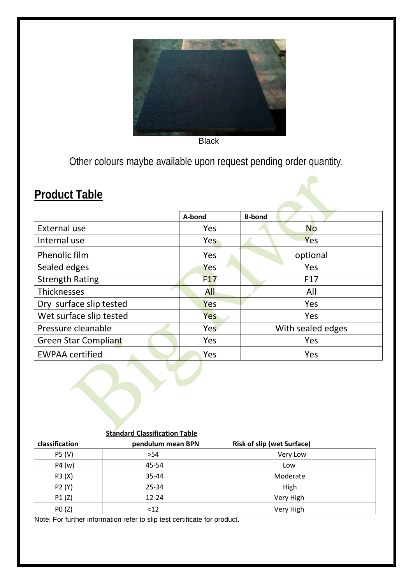

**Black** 

Other colours maybe available upon request pending order quantity.

## **Product Table**

|                             | A-bond          | <b>B-bond</b>     |
|-----------------------------|-----------------|-------------------|
| External use                | Yes             | <b>No</b>         |
| Internal use                | Yes             | Yes               |
| Phenolic film               | Yes             | optional          |
| Sealed edges                | Yes             | Yes               |
| <b>Strength Rating</b>      | F <sub>17</sub> | F <sub>17</sub>   |
| <b>Thicknesses</b>          | <b>All</b>      | All               |
| Dry surface slip tested     | Yes             | Yes               |
| Wet surface slip tested     | Yes             | Yes               |
| Pressure cleanable          | <b>Yes</b>      | With sealed edges |
| <b>Green Star Compliant</b> | Yes             | Yes               |
| <b>EWPAA certified</b>      | Yes             | Yes               |

|--|

| classification | pendulum mean BPN | <b>Risk of slip (wet Surface)</b> |  |
|----------------|-------------------|-----------------------------------|--|
| P5 (V)         | >54               | Very Low                          |  |
| P4(w)          | 45-54             | Low                               |  |
| P3 (X)         | 35-44             | Moderate                          |  |
| P2 (Y)         | 25-34             | High                              |  |
| P1(Z)          | $12 - 24$         | Very High                         |  |
| PO(Z)          | <12               | Very High                         |  |

Note: For further information refer to slip test certificate for product.